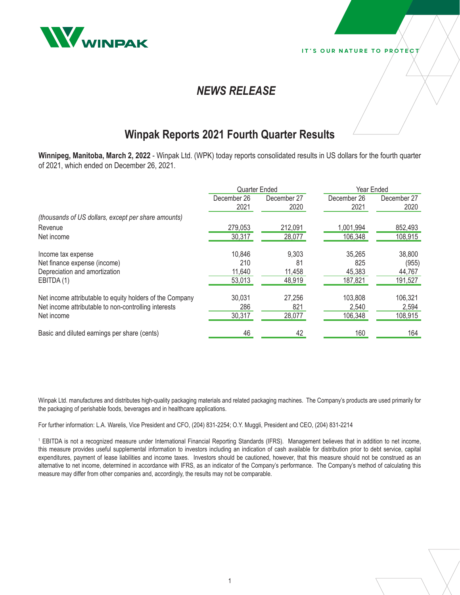

IT'S OUR NATURE TO PROTECT

# *NEWS RELEASE*

# **Winpak Reports 2021 Fourth Quarter Results**

**Winnipeg, Manitoba, March 2, 2022** - Winpak Ltd. (WPK) today reports consolidated results in US dollars for the fourth quarter of 2021, which ended on December 26, 2021.

|                                                          | Quarter Ended |             | Year Ended  |             |  |
|----------------------------------------------------------|---------------|-------------|-------------|-------------|--|
|                                                          | December 26   | December 27 | December 26 | December 27 |  |
|                                                          | 2021          | 2020        | 2021        | 2020        |  |
| (thousands of US dollars, except per share amounts)      |               |             |             |             |  |
| Revenue                                                  | 279,053       | 212,091     | 1,001,994   | 852,493     |  |
| Net income                                               | 30,317        | 28,077      | 106,348     | 108,915     |  |
| Income tax expense                                       | 10,846        | 9,303       | 35,265      | 38,800      |  |
| Net finance expense (income)                             | 210           | 81          | 825         | (955)       |  |
| Depreciation and amortization                            | 11,640        | 11,458      | 45,383      | 44,767      |  |
| EBITDA(1)                                                | 53,013        | 48,919      | 187,821     | 191,527     |  |
| Net income attributable to equity holders of the Company | 30,031        | 27,256      | 103,808     | 106,321     |  |
| Net income attributable to non-controlling interests     | 286           | 821         | 2,540       | 2,594       |  |
| Net income                                               | 30,317        | 28,077      | 106,348     | 108,915     |  |
| Basic and diluted earnings per share (cents)             | 46            | 42          | 160         | 164         |  |

Winpak Ltd. manufactures and distributes high-quality packaging materials and related packaging machines. The Company's products are used primarily for the packaging of perishable foods, beverages and in healthcare applications.

For further information: L.A. Warelis, Vice President and CFO, (204) 831-2254; O.Y. Muggli, President and CEO, (204) 831-2214

1 EBITDA is not a recognized measure under International Financial Reporting Standards (IFRS). Management believes that in addition to net income, this measure provides useful supplemental information to investors including an indication of cash available for distribution prior to debt service, capital expenditures, payment of lease liabilities and income taxes. Investors should be cautioned, however, that this measure should not be construed as an alternative to net income, determined in accordance with IFRS, as an indicator of the Company's performance. The Company's method of calculating this measure may differ from other companies and, accordingly, the results may not be comparable.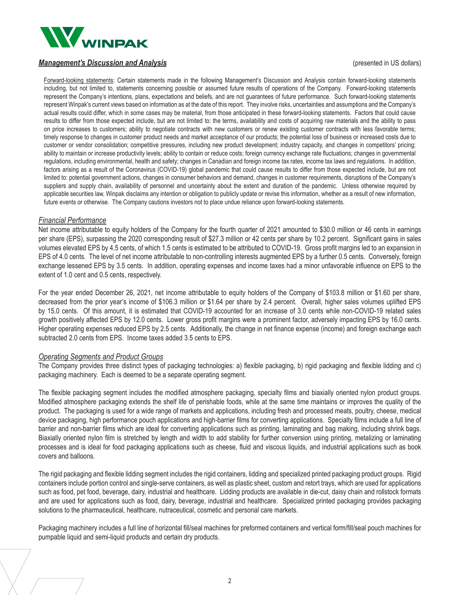

# **Management's Discussion and Analysis Contract Contract Contract Contract Contract Contract Contract Contract Contract Contract Contract Contract Contract Contract Contract Contract Contract Contract Contract Contract Co**

Forward-looking statements: Certain statements made in the following Management's Discussion and Analysis contain forward-looking statements including, but not limited to, statements concerning possible or assumed future results of operations of the Company. Forward-looking statements represent the Company's intentions, plans, expectations and beliefs, and are not guarantees of future performance. Such forward-looking statements represent Winpak's current views based on information as at the date of this report. They involve risks, uncertainties and assumptions and the Company's actual results could differ, which in some cases may be material, from those anticipated in these forward-looking statements. Factors that could cause results to differ from those expected include, but are not limited to: the terms, availability and costs of acquiring raw materials and the ability to pass on price increases to customers; ability to negotiate contracts with new customers or renew existing customer contracts with less favorable terms; timely response to changes in customer product needs and market acceptance of our products; the potential loss of business or increased costs due to customer or vendor consolidation; competitive pressures, including new product development; industry capacity, and changes in competitors' pricing; ability to maintain or increase productivity levels; ability to contain or reduce costs; foreign currency exchange rate fluctuations; changes in governmental regulations, including environmental, health and safety; changes in Canadian and foreign income tax rates, income tax laws and regulations. In addition, factors arising as a result of the Coronavirus (COVID-19) global pandemic that could cause results to differ from those expected include, but are not limited to: potential government actions, changes in consumer behaviors and demand, changes in customer requirements, disruptions of the Company's suppliers and supply chain, availability of personnel and uncertainty about the extent and duration of the pandemic. Unless otherwise required by applicable securities law, Winpak disclaims any intention or obligation to publicly update or revise this information, whether as a result of new information, future events or otherwise. The Company cautions investors not to place undue reliance upon forward-looking statements.

# *Financial Performance*

Net income attributable to equity holders of the Company for the fourth quarter of 2021 amounted to \$30.0 million or 46 cents in earnings per share (EPS), surpassing the 2020 corresponding result of \$27.3 million or 42 cents per share by 10.2 percent. Significant gains in sales volumes elevated EPS by 4.5 cents, of which 1.5 cents is estimated to be attributed to COVID-19. Gross profit margins led to an expansion in EPS of 4.0 cents. The level of net income attributable to non-controlling interests augmented EPS by a further 0.5 cents. Conversely, foreign exchange lessened EPS by 3.5 cents. In addition, operating expenses and income taxes had a minor unfavorable influence on EPS to the extent of 1.0 cent and 0.5 cents, respectively.

For the year ended December 26, 2021, net income attributable to equity holders of the Company of \$103.8 million or \$1.60 per share, decreased from the prior year's income of \$106.3 million or \$1.64 per share by 2.4 percent. Overall, higher sales volumes uplifted EPS by 15.0 cents. Of this amount, it is estimated that COVID-19 accounted for an increase of 3.0 cents while non-COVID-19 related sales growth positively affected EPS by 12.0 cents. Lower gross profit margins were a prominent factor, adversely impacting EPS by 16.0 cents. Higher operating expenses reduced EPS by 2.5 cents. Additionally, the change in net finance expense (income) and foreign exchange each subtracted 2.0 cents from EPS. Income taxes added 3.5 cents to EPS.

# *Operating Segments and Product Groups*

The Company provides three distinct types of packaging technologies: a) flexible packaging, b) rigid packaging and flexible lidding and c) packaging machinery. Each is deemed to be a separate operating segment.

The flexible packaging segment includes the modified atmosphere packaging, specialty films and biaxially oriented nylon product groups. Modified atmosphere packaging extends the shelf life of perishable foods, while at the same time maintains or improves the quality of the product. The packaging is used for a wide range of markets and applications, including fresh and processed meats, poultry, cheese, medical device packaging, high performance pouch applications and high-barrier films for converting applications. Specialty films include a full line of barrier and non-barrier films which are ideal for converting applications such as printing, laminating and bag making, including shrink bags. Biaxially oriented nylon film is stretched by length and width to add stability for further conversion using printing, metalizing or laminating processes and is ideal for food packaging applications such as cheese, fluid and viscous liquids, and industrial applications such as book covers and balloons.

The rigid packaging and flexible lidding segment includes the rigid containers, lidding and specialized printed packaging product groups. Rigid containers include portion control and single-serve containers, as well as plastic sheet, custom and retort trays, which are used for applications such as food, pet food, beverage, dairy, industrial and healthcare. Lidding products are available in die-cut, daisy chain and rollstock formats and are used for applications such as food, dairy, beverage, industrial and healthcare. Specialized printed packaging provides packaging solutions to the pharmaceutical, healthcare, nutraceutical, cosmetic and personal care markets.

Packaging machinery includes a full line of horizontal fill/seal machines for preformed containers and vertical form/fill/seal pouch machines for pumpable liquid and semi-liquid products and certain dry products.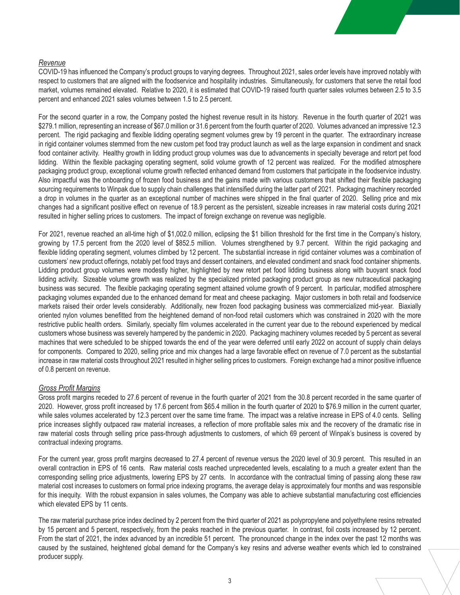# *Revenue*

COVID-19 has influenced the Company's product groups to varying degrees. Throughout 2021, sales order levels have improved notably with respect to customers that are aligned with the foodservice and hospitality industries. Simultaneously, for customers that serve the retail food market, volumes remained elevated. Relative to 2020, it is estimated that COVID-19 raised fourth quarter sales volumes between 2.5 to 3.5 percent and enhanced 2021 sales volumes between 1.5 to 2.5 percent.

For the second quarter in a row, the Company posted the highest revenue result in its history. Revenue in the fourth quarter of 2021 was \$279.1 million, representing an increase of \$67.0 million or 31.6 percent from the fourth quarter of 2020. Volumes advanced an impressive 12.3 percent. The rigid packaging and flexible lidding operating segment volumes grew by 19 percent in the quarter. The extraordinary increase in rigid container volumes stemmed from the new custom pet food tray product launch as well as the large expansion in condiment and snack food container activity. Healthy growth in lidding product group volumes was due to advancements in specialty beverage and retort pet food lidding. Within the flexible packaging operating segment, solid volume growth of 12 percent was realized. For the modified atmosphere packaging product group, exceptional volume growth reflected enhanced demand from customers that participate in the foodservice industry. Also impactful was the onboarding of frozen food business and the gains made with various customers that shifted their flexible packaging sourcing requirements to Winpak due to supply chain challenges that intensified during the latter part of 2021. Packaging machinery recorded a drop in volumes in the quarter as an exceptional number of machines were shipped in the final quarter of 2020. Selling price and mix changes had a significant positive effect on revenue of 18.9 percent as the persistent, sizeable increases in raw material costs during 2021 resulted in higher selling prices to customers. The impact of foreign exchange on revenue was negligible.

For 2021, revenue reached an all-time high of \$1,002.0 million, eclipsing the \$1 billion threshold for the first time in the Company's history, growing by 17.5 percent from the 2020 level of \$852.5 million. Volumes strengthened by 9.7 percent. Within the rigid packaging and flexible lidding operating segment, volumes climbed by 12 percent. The substantial increase in rigid container volumes was a combination of customers' new product offerings, notably pet food trays and dessert containers, and elevated condiment and snack food container shipments. Lidding product group volumes were modestly higher, highlighted by new retort pet food lidding business along with buoyant snack food lidding activity. Sizeable volume growth was realized by the specialized printed packaging product group as new nutraceutical packaging business was secured. The flexible packaging operating segment attained volume growth of 9 percent. In particular, modified atmosphere packaging volumes expanded due to the enhanced demand for meat and cheese packaging. Major customers in both retail and foodservice markets raised their order levels considerably. Additionally, new frozen food packaging business was commercialized mid-year. Biaxially oriented nylon volumes benefitted from the heightened demand of non-food retail customers which was constrained in 2020 with the more restrictive public health orders. Similarly, specialty film volumes accelerated in the current year due to the rebound experienced by medical customers whose business was severely hampered by the pandemic in 2020. Packaging machinery volumes receded by 5 percent as several machines that were scheduled to be shipped towards the end of the year were deferred until early 2022 on account of supply chain delays for components. Compared to 2020, selling price and mix changes had a large favorable effect on revenue of 7.0 percent as the substantial increase in raw material costs throughout 2021 resulted in higher selling prices to customers. Foreign exchange had a minor positive influence of 0.8 percent on revenue.

# *Gross Profit Margins*

Gross profit margins receded to 27.6 percent of revenue in the fourth quarter of 2021 from the 30.8 percent recorded in the same quarter of 2020. However, gross profit increased by 17.6 percent from \$65.4 million in the fourth quarter of 2020 to \$76.9 million in the current quarter, while sales volumes accelerated by 12.3 percent over the same time frame. The impact was a relative increase in EPS of 4.0 cents. Selling price increases slightly outpaced raw material increases, a reflection of more profitable sales mix and the recovery of the dramatic rise in raw material costs through selling price pass-through adjustments to customers, of which 69 percent of Winpak's business is covered by contractual indexing programs.

For the current year, gross profit margins decreased to 27.4 percent of revenue versus the 2020 level of 30.9 percent. This resulted in an overall contraction in EPS of 16 cents. Raw material costs reached unprecedented levels, escalating to a much a greater extent than the corresponding selling price adjustments, lowering EPS by 27 cents. In accordance with the contractual timing of passing along these raw material cost increases to customers on formal price indexing programs, the average delay is approximately four months and was responsible for this inequity. With the robust expansion in sales volumes, the Company was able to achieve substantial manufacturing cost efficiencies which elevated EPS by 11 cents.

The raw material purchase price index declined by 2 percent from the third quarter of 2021 as polypropylene and polyethylene resins retreated by 15 percent and 5 percent, respectively, from the peaks reached in the previous quarter. In contrast, foil costs increased by 12 percent. From the start of 2021, the index advanced by an incredible 51 percent. The pronounced change in the index over the past 12 months was caused by the sustained, heightened global demand for the Company's key resins and adverse weather events which led to constrained producer supply.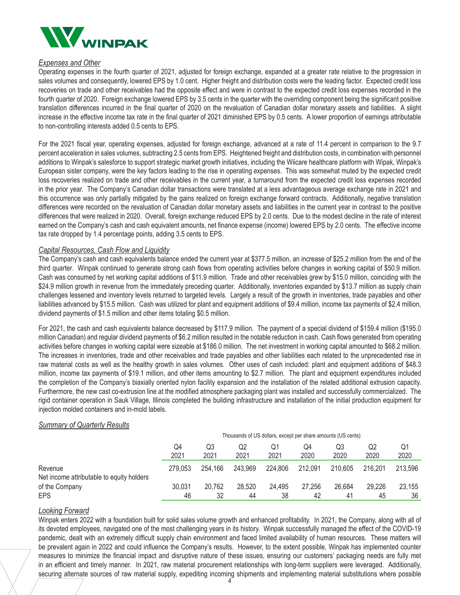

# *Expenses and Other*

Operating expenses in the fourth quarter of 2021, adjusted for foreign exchange, expanded at a greater rate relative to the progression in sales volumes and consequently, lowered EPS by 1.0 cent. Higher freight and distribution costs were the leading factor. Expected credit loss recoveries on trade and other receivables had the opposite effect and were in contrast to the expected credit loss expenses recorded in the fourth quarter of 2020. Foreign exchange lowered EPS by 3.5 cents in the quarter with the overriding component being the significant positive translation differences incurred in the final quarter of 2020 on the revaluation of Canadian dollar monetary assets and liabilities. A slight increase in the effective income tax rate in the final quarter of 2021 diminished EPS by 0.5 cents. A lower proportion of earnings attributable to non-controlling interests added 0.5 cents to EPS.

For the 2021 fiscal year, operating expenses, adjusted for foreign exchange, advanced at a rate of 11.4 percent in comparison to the 9.7 percent acceleration in sales volumes, subtracting 2.5 cents from EPS. Heightened freight and distribution costs, in combination with personnel additions to Winpak's salesforce to support strategic market growth initiatives, including the Wiicare healthcare platform with Wipak, Winpak's European sister company, were the key factors leading to the rise in operating expenses. This was somewhat muted by the expected credit loss recoveries realized on trade and other receivables in the current year, a turnaround from the expected credit loss expenses recorded in the prior year. The Company's Canadian dollar transactions were translated at a less advantageous average exchange rate in 2021 and this occurrence was only partially mitigated by the gains realized on foreign exchange forward contracts. Additionally, negative translation differences were recorded on the revaluation of Canadian dollar monetary assets and liabilities in the current year in contrast to the positive differences that were realized in 2020. Overall, foreign exchange reduced EPS by 2.0 cents. Due to the modest decline in the rate of interest earned on the Company's cash and cash equivalent amounts, net finance expense (income) lowered EPS by 2.0 cents. The effective income tax rate dropped by 1.4 percentage points, adding 3.5 cents to EPS.

# *Capital Resources, Cash Flow and Liquidity*

The Company's cash and cash equivalents balance ended the current year at \$377.5 million, an increase of \$25.2 million from the end of the third quarter. Winpak continued to generate strong cash flows from operating activities before changes in working capital of \$50.9 million. Cash was consumed by net working capital additions of \$11.9 million. Trade and other receivables grew by \$15.0 million, coinciding with the \$24.9 million growth in revenue from the immediately preceding quarter. Additionally, inventories expanded by \$13.7 million as supply chain challenges lessened and inventory levels returned to targeted levels. Largely a result of the growth in inventories, trade payables and other liabilities advanced by \$15.5 million. Cash was utilized for plant and equipment additions of \$9.4 million, income tax payments of \$2.4 million, dividend payments of \$1.5 million and other items totaling \$0.5 million.

For 2021, the cash and cash equivalents balance decreased by \$117.9 million. The payment of a special dividend of \$159.4 million (\$195.0 million Canadian) and regular dividend payments of \$6.2 million resulted in the notable reduction in cash. Cash flows generated from operating activities before changes in working capital were sizeable at \$186.0 million. The net investment in working capital amounted to \$68.2 million. The increases in inventories, trade and other receivables and trade payables and other liabilities each related to the unprecedented rise in raw material costs as well as the healthy growth in sales volumes. Other uses of cash included: plant and equipment additions of \$48.3 million, income tax payments of \$19.1 million, and other items amounting to \$2.7 million. The plant and equipment expenditures included the completion of the Company's biaxially oriented nylon facility expansion and the installation of the related additional extrusion capacity. Furthermore, the new cast co-extrusion line at the modified atmosphere packaging plant was installed and successfully commercialized. The rigid container operation in Sauk Village, Illinois completed the building infrastructure and installation of the initial production equipment for injection molded containers and in-mold labels.

# *Summary of Quarterly Results*

|                                                      | Thousands of US dollars, except per share amounts (US cents) |            |            |            |            |                |            |            |
|------------------------------------------------------|--------------------------------------------------------------|------------|------------|------------|------------|----------------|------------|------------|
|                                                      | Q4<br>2021                                                   | Q3<br>2021 | Q2<br>2021 | Q1<br>2021 | Q4<br>2020 | Q3<br>2020     | Q2<br>2020 | Q1<br>2020 |
| Revenue<br>Net income attributable to equity holders | 279.053                                                      | 254.166    | 243.969    | 224,806    | 212,091    | 210,605        | 216.201    | 213,596    |
| of the Company                                       | 30,031                                                       | 20,762     | 28,520     | 24,495     | 27,256     | 26,684         | 29,226     | 23.155     |
| <b>EPS</b>                                           | 46                                                           | 32         | 44         | 38         | 42         | 4 <sup>1</sup> | 45         | 36         |

# *Looking Forward*

Winpak enters 2022 with a foundation built for solid sales volume growth and enhanced profitability. In 2021, the Company, along with all of its devoted employees, navigated one of the most challenging years in its history. Winpak successfully managed the effect of the COVID-19 pandemic, dealt with an extremely difficult supply chain environment and faced limited availability of human resources. These matters will be prevalent again in 2022 and could influence the Company's results. However, to the extent possible, Winpak has implemented counter measures to minimize the financial impact and disruptive nature of these issues, ensuring our customers' packaging needs are fully met in an efficient and timely manner. In 2021, raw material procurement relationships with long-term suppliers were leveraged. Additionally, securing alternate sources of raw material supply, expediting incoming shipments and implementing material substitutions where possible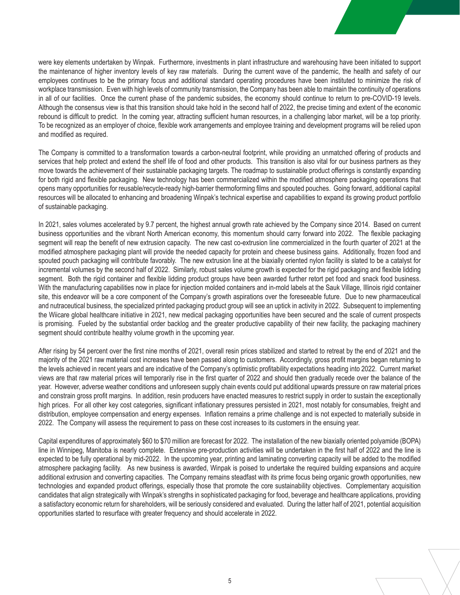were key elements undertaken by Winpak. Furthermore, investments in plant infrastructure and warehousing have been initiated to support the maintenance of higher inventory levels of key raw materials. During the current wave of the pandemic, the health and safety of our employees continues to be the primary focus and additional standard operating procedures have been instituted to minimize the risk of workplace transmission. Even with high levels of community transmission, the Company has been able to maintain the continuity of operations in all of our facilities. Once the current phase of the pandemic subsides, the economy should continue to return to pre-COVID-19 levels. Although the consensus view is that this transition should take hold in the second half of 2022, the precise timing and extent of the economic rebound is difficult to predict. In the coming year, attracting sufficient human resources, in a challenging labor market, will be a top priority. To be recognized as an employer of choice, flexible work arrangements and employee training and development programs will be relied upon and modified as required.

The Company is committed to a transformation towards a carbon-neutral footprint, while providing an unmatched offering of products and services that help protect and extend the shelf life of food and other products. This transition is also vital for our business partners as they move towards the achievement of their sustainable packaging targets. The roadmap to sustainable product offerings is constantly expanding for both rigid and flexible packaging. New technology has been commercialized within the modified atmosphere packaging operations that opens many opportunities for reusable/recycle-ready high-barrier thermoforming films and spouted pouches. Going forward, additional capital resources will be allocated to enhancing and broadening Winpak's technical expertise and capabilities to expand its growing product portfolio of sustainable packaging.

In 2021, sales volumes accelerated by 9.7 percent, the highest annual growth rate achieved by the Company since 2014. Based on current business opportunities and the vibrant North American economy, this momentum should carry forward into 2022. The flexible packaging segment will reap the benefit of new extrusion capacity. The new cast co-extrusion line commercialized in the fourth quarter of 2021 at the modified atmosphere packaging plant will provide the needed capacity for protein and cheese business gains. Additionally, frozen food and spouted pouch packaging will contribute favorably. The new extrusion line at the biaxially oriented nylon facility is slated to be a catalyst for incremental volumes by the second half of 2022. Similarly, robust sales volume growth is expected for the rigid packaging and flexible lidding segment. Both the rigid container and flexible lidding product groups have been awarded further retort pet food and snack food business. With the manufacturing capabilities now in place for injection molded containers and in-mold labels at the Sauk Village, Illinois rigid container site, this endeavor will be a core component of the Company's growth aspirations over the foreseeable future. Due to new pharmaceutical and nutraceutical business, the specialized printed packaging product group will see an uptick in activity in 2022. Subsequent to implementing the Wiicare global healthcare initiative in 2021, new medical packaging opportunities have been secured and the scale of current prospects is promising. Fueled by the substantial order backlog and the greater productive capability of their new facility, the packaging machinery segment should contribute healthy volume growth in the upcoming year.

After rising by 54 percent over the first nine months of 2021, overall resin prices stabilized and started to retreat by the end of 2021 and the majority of the 2021 raw material cost increases have been passed along to customers. Accordingly, gross profit margins began returning to the levels achieved in recent years and are indicative of the Company's optimistic profitability expectations heading into 2022. Current market views are that raw material prices will temporarily rise in the first quarter of 2022 and should then gradually recede over the balance of the year. However, adverse weather conditions and unforeseen supply chain events could put additional upwards pressure on raw material prices and constrain gross profit margins. In addition, resin producers have enacted measures to restrict supply in order to sustain the exceptionally high prices. For all other key cost categories, significant inflationary pressures persisted in 2021, most notably for consumables, freight and distribution, employee compensation and energy expenses. Inflation remains a prime challenge and is not expected to materially subside in 2022. The Company will assess the requirement to pass on these cost increases to its customers in the ensuing year.

Capital expenditures of approximately \$60 to \$70 million are forecast for 2022. The installation of the new biaxially oriented polyamide (BOPA) line in Winnipeg, Manitoba is nearly complete. Extensive pre-production activities will be undertaken in the first half of 2022 and the line is expected to be fully operational by mid-2022. In the upcoming year, printing and laminating converting capacity will be added to the modified atmosphere packaging facility. As new business is awarded, Winpak is poised to undertake the required building expansions and acquire additional extrusion and converting capacities. The Company remains steadfast with its prime focus being organic growth opportunities, new technologies and expanded product offerings, especially those that promote the core sustainability objectives. Complementary acquisition candidates that align strategically with Winpak's strengths in sophisticated packaging for food, beverage and healthcare applications, providing a satisfactory economic return for shareholders, will be seriously considered and evaluated. During the latter half of 2021, potential acquisition opportunities started to resurface with greater frequency and should accelerate in 2022.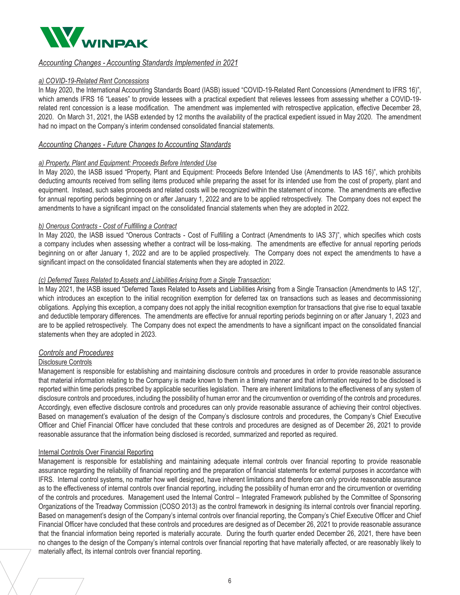

# *Accounting Changes - Accounting Standards Implemented in 2021*

# *a) COVID-19-Related Rent Concessions*

In May 2020, the International Accounting Standards Board (IASB) issued "COVID-19-Related Rent Concessions (Amendment to IFRS 16)", which amends IFRS 16 "Leases" to provide lessees with a practical expedient that relieves lessees from assessing whether a COVID-19 related rent concession is a lease modification. The amendment was implemented with retrospective application, effective December 28, 2020. On March 31, 2021, the IASB extended by 12 months the availability of the practical expedient issued in May 2020. The amendment had no impact on the Company's interim condensed consolidated financial statements.

# *Accounting Changes - Future Changes to Accounting Standards*

# *a) Property, Plant and Equipment: Proceeds Before Intended Use*

In May 2020, the IASB issued "Property, Plant and Equipment: Proceeds Before Intended Use (Amendments to IAS 16)", which prohibits deducting amounts received from selling items produced while preparing the asset for its intended use from the cost of property, plant and equipment. Instead, such sales proceeds and related costs will be recognized within the statement of income. The amendments are effective for annual reporting periods beginning on or after January 1, 2022 and are to be applied retrospectively. The Company does not expect the amendments to have a significant impact on the consolidated financial statements when they are adopted in 2022.

# *b) Onerous Contracts - Cost of Fulfilling a Contract*

In May 2020, the IASB issued "Onerous Contracts - Cost of Fulfilling a Contract (Amendments to IAS 37)", which specifies which costs a company includes when assessing whether a contract will be loss-making. The amendments are effective for annual reporting periods beginning on or after January 1, 2022 and are to be applied prospectively. The Company does not expect the amendments to have a significant impact on the consolidated financial statements when they are adopted in 2022.

# *(c) Deferred Taxes Related to Assets and Liabilities Arising from a Single Transaction:*

In May 2021, the IASB issued "Deferred Taxes Related to Assets and Liabilities Arising from a Single Transaction (Amendments to IAS 12)", which introduces an exception to the initial recognition exemption for deferred tax on transactions such as leases and decommissioning obligations. Applying this exception, a company does not apply the initial recognition exemption for transactions that give rise to equal taxable and deductible temporary differences. The amendments are effective for annual reporting periods beginning on or after January 1, 2023 and are to be applied retrospectively. The Company does not expect the amendments to have a significant impact on the consolidated financial statements when they are adopted in 2023.

# *Controls and Procedures*

## Disclosure Controls

Management is responsible for establishing and maintaining disclosure controls and procedures in order to provide reasonable assurance that material information relating to the Company is made known to them in a timely manner and that information required to be disclosed is reported within time periods prescribed by applicable securities legislation. There are inherent limitations to the effectiveness of any system of disclosure controls and procedures, including the possibility of human error and the circumvention or overriding of the controls and procedures. Accordingly, even effective disclosure controls and procedures can only provide reasonable assurance of achieving their control objectives. Based on management's evaluation of the design of the Company's disclosure controls and procedures, the Company's Chief Executive Officer and Chief Financial Officer have concluded that these controls and procedures are designed as of December 26, 2021 to provide reasonable assurance that the information being disclosed is recorded, summarized and reported as required.

# Internal Controls Over Financial Reporting

Management is responsible for establishing and maintaining adequate internal controls over financial reporting to provide reasonable assurance regarding the reliability of financial reporting and the preparation of financial statements for external purposes in accordance with IFRS. Internal control systems, no matter how well designed, have inherent limitations and therefore can only provide reasonable assurance as to the effectiveness of internal controls over financial reporting, including the possibility of human error and the circumvention or overriding of the controls and procedures. Management used the Internal Control – Integrated Framework published by the Committee of Sponsoring Organizations of the Treadway Commission (COSO 2013) as the control framework in designing its internal controls over financial reporting. Based on management's design of the Company's internal controls over financial reporting, the Company's Chief Executive Officer and Chief Financial Officer have concluded that these controls and procedures are designed as of December 26, 2021 to provide reasonable assurance that the financial information being reported is materially accurate. During the fourth quarter ended December 26, 2021, there have been no changes to the design of the Company's internal controls over financial reporting that have materially affected, or are reasonably likely to materially affect, its internal controls over financial reporting.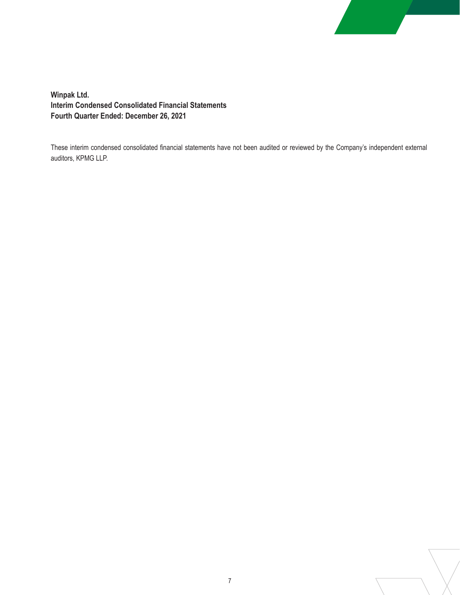

**Winpak Ltd. Interim Condensed Consolidated Financial Statements Fourth Quarter Ended: December 26, 2021**

These interim condensed consolidated financial statements have not been audited or reviewed by the Company's independent external auditors, KPMG LLP.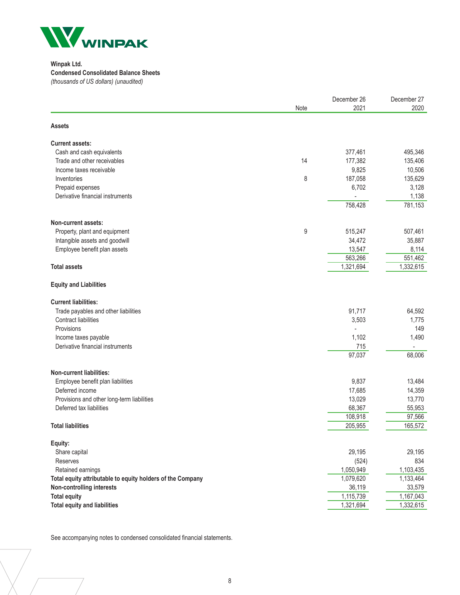

**Winpak Ltd. Condensed Consolidated Balance Sheets** *(thousands of US dollars) (unaudited)*

|                                                            |      | December 26 | December 27 |
|------------------------------------------------------------|------|-------------|-------------|
|                                                            | Note | 2021        | 2020        |
| <b>Assets</b>                                              |      |             |             |
| <b>Current assets:</b>                                     |      |             |             |
| Cash and cash equivalents                                  |      | 377,461     | 495,346     |
| Trade and other receivables                                | 14   | 177,382     | 135,406     |
| Income taxes receivable                                    |      | 9,825       | 10,506      |
| Inventories                                                | 8    | 187,058     | 135,629     |
| Prepaid expenses                                           |      | 6,702       | 3,128       |
| Derivative financial instruments                           |      |             | 1,138       |
|                                                            |      | 758,428     | 781,153     |
| Non-current assets:                                        |      |             |             |
| Property, plant and equipment                              | 9    | 515,247     | 507,461     |
| Intangible assets and goodwill                             |      | 34,472      | 35,887      |
| Employee benefit plan assets                               |      | 13,547      | 8,114       |
|                                                            |      | 563,266     | 551,462     |
| <b>Total assets</b>                                        |      | 1,321,694   | 1,332,615   |
| <b>Equity and Liabilities</b>                              |      |             |             |
| <b>Current liabilities:</b>                                |      |             |             |
| Trade payables and other liabilities                       |      | 91,717      | 64,592      |
| <b>Contract liabilities</b>                                |      | 3,503       | 1,775       |
| Provisions                                                 |      |             | 149         |
| Income taxes payable                                       |      | 1,102       | 1,490       |
| Derivative financial instruments                           |      | 715         |             |
|                                                            |      | 97,037      | 68,006      |
| <b>Non-current liabilities:</b>                            |      |             |             |
| Employee benefit plan liabilities                          |      | 9,837       | 13,484      |
| Deferred income                                            |      | 17,685      | 14,359      |
| Provisions and other long-term liabilities                 |      | 13,029      | 13,770      |
| Deferred tax liabilities                                   |      | 68,367      | 55,953      |
|                                                            |      | 108,918     | 97,566      |
| <b>Total liabilities</b>                                   |      | 205,955     | 165,572     |
| Equity:                                                    |      |             |             |
| Share capital                                              |      | 29,195      | 29,195      |
| Reserves                                                   |      | (524)       | 834         |
| Retained earnings                                          |      | 1,050,949   | 1,103,435   |
| Total equity attributable to equity holders of the Company |      | 1,079,620   | 1,133,464   |
| <b>Non-controlling interests</b>                           |      | 36,119      | 33,579      |
| <b>Total equity</b>                                        |      | 1,115,739   | 1,167,043   |
| <b>Total equity and liabilities</b>                        |      | 1,321,694   | 1,332,615   |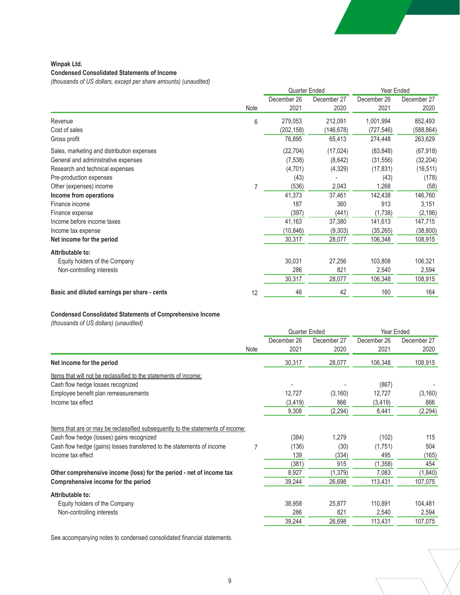# **Winpak Ltd.**

# **Condensed Consolidated Statements of Income**

*(thousands of US dollars, except per share amounts) (unaudited)*

|                                              |                |             | Quarter Ended |             | Year Ended  |
|----------------------------------------------|----------------|-------------|---------------|-------------|-------------|
|                                              |                | December 26 | December 27   | December 26 | December 27 |
|                                              | Note           | 2021        | 2020          | 2021        | 2020        |
| Revenue                                      | 6              | 279,053     | 212,091       | 1,001,994   | 852,493     |
| Cost of sales                                |                | (202,158)   | (146, 678)    | (727,546)   | (588, 864)  |
| Gross profit                                 |                | 76,895      | 65,413        | 274,448     | 263,629     |
| Sales, marketing and distribution expenses   |                | (22, 704)   | (17, 024)     | (83, 848)   | (67, 918)   |
| General and administrative expenses          |                | (7, 538)    | (8,642)       | (31, 556)   | (32, 204)   |
| Research and technical expenses              |                | (4,701)     | (4,329)       | (17, 831)   | (16, 511)   |
| Pre-production expenses                      |                | (43)        |               | (43)        | (178)       |
| Other (expenses) income                      | $\overline{7}$ | (536)       | 2,043         | 1,268       | (58)        |
| Income from operations                       |                | 41,373      | 37,461        | 142,438     | 146,760     |
| Finance income                               |                | 187         | 360           | 913         | 3,151       |
| Finance expense                              |                | (397)       | (441)         | (1,738)     | (2, 196)    |
| Income before income taxes                   |                | 41,163      | 37,380        | 141,613     | 147,715     |
| Income tax expense                           |                | (10, 846)   | (9,303)       | (35, 265)   | (38, 800)   |
| Net income for the period                    |                | 30,317      | 28,077        | 106,348     | 108,915     |
| Attributable to:                             |                |             |               |             |             |
| Equity holders of the Company                |                | 30,031      | 27,256        | 103,808     | 106,321     |
| Non-controlling interests                    |                | 286         | 821           | 2,540       | 2,594       |
|                                              |                | 30,317      | 28,077        | 106,348     | 108,915     |
| Basic and diluted earnings per share - cents | 12             | 46          | 42            | 160         | 164         |

# **Condensed Consolidated Statements of Comprehensive Income**

*(thousands of US dollars) (unaudited)*

|                                                                                 |      | Quarter Ended |             | Year Ended  |             |
|---------------------------------------------------------------------------------|------|---------------|-------------|-------------|-------------|
|                                                                                 |      | December 26   | December 27 | December 26 | December 27 |
|                                                                                 | Note | 2021          | 2020        | 2021        | 2020        |
| Net income for the period                                                       |      | 30,317        | 28,077      | 106,348     | 108,915     |
| Items that will not be reclassified to the statements of income:                |      |               |             |             |             |
| Cash flow hedge losses recognized                                               |      |               |             | (867)       |             |
| Employee benefit plan remeasurements                                            |      | 12,727        | (3, 160)    | 12,727      | (3, 160)    |
| Income tax effect                                                               |      | (3, 419)      | 866         | (3, 419)    | 866         |
|                                                                                 |      | 9,308         | (2, 294)    | 8,441       | (2, 294)    |
| Items that are or may be reclassified subsequently to the statements of income: |      |               |             |             |             |
| Cash flow hedge (losses) gains recognized                                       |      | (384)         | 1,279       | (102)       | 115         |
| Cash flow hedge (gains) losses transferred to the statements of income          | 7    | (136)         | (30)        | (1,751)     | 504         |
| Income tax effect                                                               |      | 139           | (334)       | 495         | (165)       |
|                                                                                 |      | (381)         | 915         | (1,358)     | 454         |
| Other comprehensive income (loss) for the period - net of income tax            |      | 8,927         | (1, 379)    | 7,083       | (1,840)     |
| Comprehensive income for the period                                             |      | 39,244        | 26,698      | 113,431     | 107,075     |
| Attributable to:                                                                |      |               |             |             |             |
| Equity holders of the Company                                                   |      | 38,958        | 25,877      | 110,891     | 104,481     |
| Non-controlling interests                                                       |      | 286           | 821         | 2,540       | 2,594       |
|                                                                                 |      | 39,244        | 26,698      | 113,431     | 107,075     |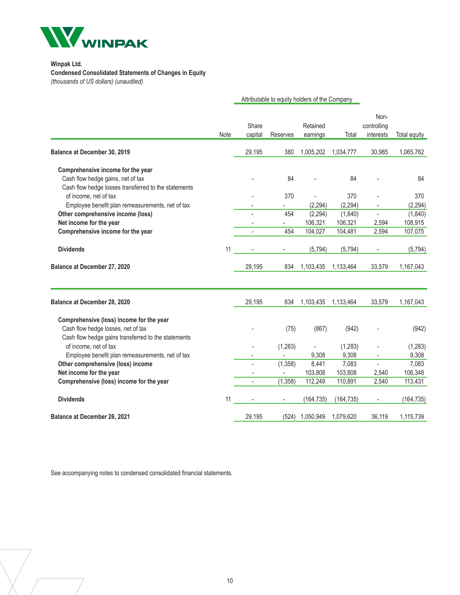

# **Winpak Ltd.**

**Condensed Consolidated Statements of Changes in Equity** *(thousands of US dollars) (unaudited)*

Attributable to equity holders of the Company

|                                                                                                                                       | Note | Share<br>capital | Reserves       | Retained<br>earnings | Total      | Non-<br>controlling<br>interests | Total equity |
|---------------------------------------------------------------------------------------------------------------------------------------|------|------------------|----------------|----------------------|------------|----------------------------------|--------------|
| Balance at December 30, 2019                                                                                                          |      | 29,195           | 380            | 1,005,202            | 1,034,777  | 30,985                           | 1,065,762    |
| Comprehensive income for the year<br>Cash flow hedge gains, net of tax<br>Cash flow hedge losses transferred to the statements        |      |                  | 84             |                      | 84         |                                  | 84           |
| of income, net of tax                                                                                                                 |      |                  | 370            |                      | 370        |                                  | 370          |
| Employee benefit plan remeasurements, net of tax                                                                                      |      |                  |                | (2, 294)             | (2, 294)   | $\blacksquare$                   | (2, 294)     |
| Other comprehensive income (loss)                                                                                                     |      |                  | 454            | (2, 294)             | (1,840)    | $\mathbb{Z}^2$                   | (1,840)      |
| Net income for the year                                                                                                               |      |                  |                | 106,321              | 106,321    | 2,594                            | 108,915      |
| Comprehensive income for the year                                                                                                     |      |                  | 454            | 104,027              | 104,481    | 2,594                            | 107,075      |
| <b>Dividends</b>                                                                                                                      | 11   |                  |                | (5, 794)             | (5, 794)   |                                  | (5,794)      |
| Balance at December 27, 2020                                                                                                          |      | 29,195           | 834            | 1,103,435            | 1,133,464  | 33,579                           | 1,167,043    |
| Balance at December 28, 2020                                                                                                          |      | 29,195           | 834            | 1,103,435            | 1,133,464  | 33,579                           | 1,167,043    |
| Comprehensive (loss) income for the year<br>Cash flow hedge losses, net of tax<br>Cash flow hedge gains transferred to the statements |      |                  | (75)           | (867)                | (942)      |                                  | (942)        |
| of income, net of tax                                                                                                                 |      |                  | (1,283)        | $\overline{a}$       | (1,283)    | $\overline{a}$                   | (1, 283)     |
| Employee benefit plan remeasurements, net of tax                                                                                      |      |                  |                | 9,308                | 9,308      | $\blacksquare$                   | 9,308        |
| Other comprehensive (loss) income                                                                                                     |      | $\blacksquare$   | (1,358)        | 8,441                | 7,083      | $\overline{\phantom{a}}$         | 7,083        |
| Net income for the year                                                                                                               |      |                  | $\overline{a}$ | 103,808              | 103,808    | 2,540                            | 106,348      |
| Comprehensive (loss) income for the year                                                                                              |      |                  | (1, 358)       | 112,249              | 110,891    | 2,540                            | 113,431      |
| <b>Dividends</b>                                                                                                                      | 11   |                  | $\blacksquare$ | (164, 735)           | (164, 735) |                                  | (164, 735)   |
| Balance at December 26, 2021                                                                                                          |      | 29,195           | (524)          | 1,050,949            | 1,079,620  | 36,119                           | 1,115,739    |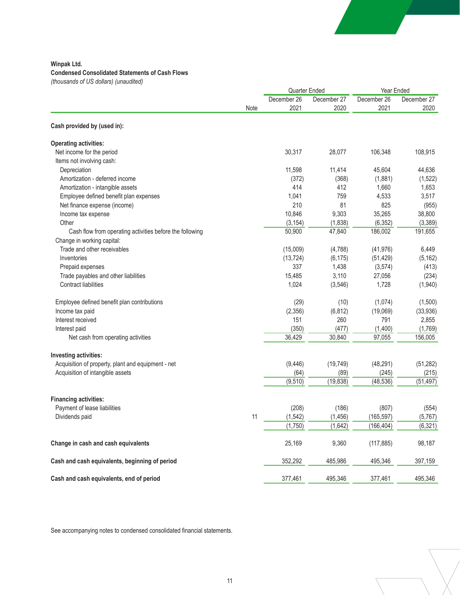# **Winpak Ltd. Condensed Consolidated Statements of Cash Flows**

*(thousands of US dollars) (unaudited)*

|                                                          |      | Quarter Ended |             | Year Ended  |             |
|----------------------------------------------------------|------|---------------|-------------|-------------|-------------|
|                                                          |      | December 26   | December 27 | December 26 | December 27 |
|                                                          | Note | 2021          | 2020        | 2021        | 2020        |
| Cash provided by (used in):                              |      |               |             |             |             |
| <b>Operating activities:</b>                             |      |               |             |             |             |
| Net income for the period                                |      | 30,317        | 28,077      | 106,348     | 108,915     |
| Items not involving cash:                                |      |               |             |             |             |
| Depreciation                                             |      | 11,598        | 11,414      | 45,604      | 44,636      |
| Amortization - deferred income                           |      | (372)         | (368)       | (1,881)     | (1,522)     |
| Amortization - intangible assets                         |      | 414           | 412         | 1,660       | 1,653       |
| Employee defined benefit plan expenses                   |      | 1,041         | 759         | 4,533       | 3,517       |
| Net finance expense (income)                             |      | 210           | 81          | 825         | (955)       |
| Income tax expense                                       |      | 10,846        | 9,303       | 35,265      | 38,800      |
| Other                                                    |      | (3, 154)      | (1,838)     | (6, 352)    | (3,389)     |
| Cash flow from operating activities before the following |      | 50,900        | 47,840      | 186,002     | 191,655     |
| Change in working capital:                               |      |               |             |             |             |
| Trade and other receivables                              |      | (15,009)      | (4,788)     | (41, 976)   | 6,449       |
| Inventories                                              |      | (13, 724)     | (6, 175)    | (51, 429)   | (5, 162)    |
| Prepaid expenses                                         |      | 337           | 1,438       | (3,574)     | (413)       |
| Trade payables and other liabilities                     |      | 15,485        | 3,110       | 27,056      | (234)       |
| <b>Contract liabilities</b>                              |      | 1,024         | (3, 546)    | 1,728       | (1,940)     |
| Employee defined benefit plan contributions              |      | (29)          | (10)        | (1,074)     | (1,500)     |
| Income tax paid                                          |      | (2,356)       | (6, 812)    | (19,069)    | (33,936)    |
| Interest received                                        |      | 151           | 260         | 791         | 2,855       |
| Interest paid                                            |      | (350)         | (477)       | (1,400)     | (1,769)     |
| Net cash from operating activities                       |      | 36,429        | 30,840      | 97,055      | 156,005     |
| Investing activities:                                    |      |               |             |             |             |
| Acquisition of property, plant and equipment - net       |      | (9, 446)      | (19, 749)   | (48, 291)   | (51, 282)   |
| Acquisition of intangible assets                         |      | (64)          | (89)        | (245)       | (215)       |
|                                                          |      | (9, 510)      | (19, 838)   | (48, 536)   | (51, 497)   |
| <b>Financing activities:</b>                             |      |               |             |             |             |
| Payment of lease liabilities                             |      | (208)         | (186)       | (807)       | (554)       |
| Dividends paid                                           | 11   | (1, 542)      | (1, 456)    | (165, 597)  | (5, 767)    |
|                                                          |      | (1,750)       | (1,642)     | (166, 404)  | (6, 321)    |
|                                                          |      |               |             |             |             |
| Change in cash and cash equivalents                      |      | 25,169        | 9,360       | (117, 885)  | 98,187      |
| Cash and cash equivalents, beginning of period           |      | 352,292       | 485,986     | 495,346     | 397,159     |
| Cash and cash equivalents, end of period                 |      | 377,461       | 495,346     | 377,461     | 495,346     |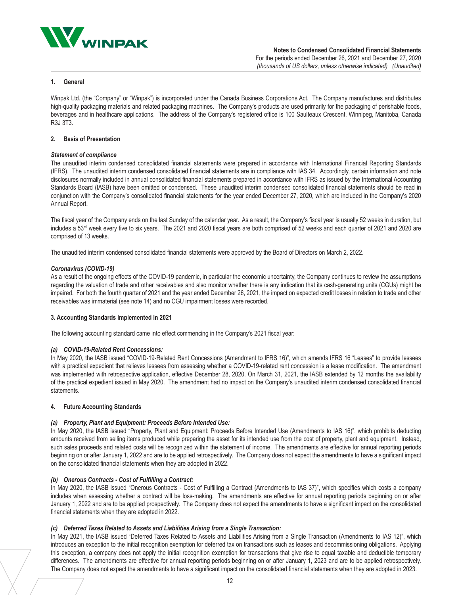

# **1. General**

Winpak Ltd. (the "Company" or "Winpak") is incorporated under the Canada Business Corporations Act. The Company manufactures and distributes high-quality packaging materials and related packaging machines. The Company's products are used primarily for the packaging of perishable foods, beverages and in healthcare applications. The address of the Company's registered office is 100 Saulteaux Crescent, Winnipeg, Manitoba, Canada R3J 3T3.

## **2. Basis of Presentation**

### *Statement of compliance*

The unaudited interim condensed consolidated financial statements were prepared in accordance with International Financial Reporting Standards (IFRS). The unaudited interim condensed consolidated financial statements are in compliance with IAS 34. Accordingly, certain information and note disclosures normally included in annual consolidated financial statements prepared in accordance with IFRS as issued by the International Accounting Standards Board (IASB) have been omitted or condensed. These unaudited interim condensed consolidated financial statements should be read in conjunction with the Company's consolidated financial statements for the year ended December 27, 2020, which are included in the Company's 2020 Annual Report.

The fiscal year of the Company ends on the last Sunday of the calendar year. As a result, the Company's fiscal year is usually 52 weeks in duration, but includes a 53<sup>rd</sup> week every five to six years. The 2021 and 2020 fiscal years are both comprised of 52 weeks and each quarter of 2021 and 2020 are comprised of 13 weeks.

The unaudited interim condensed consolidated financial statements were approved by the Board of Directors on March 2, 2022.

## *Coronavirus (COVID-19)*

As a result of the ongoing effects of the COVID-19 pandemic, in particular the economic uncertainty, the Company continues to review the assumptions regarding the valuation of trade and other receivables and also monitor whether there is any indication that its cash-generating units (CGUs) might be impaired. For both the fourth quarter of 2021 and the year ended December 26, 2021, the impact on expected credit losses in relation to trade and other receivables was immaterial (see note 14) and no CGU impairment losses were recorded.

### **3. Accounting Standards Implemented in 2021**

The following accounting standard came into effect commencing in the Company's 2021 fiscal year:

## *(a) COVID-19-Related Rent Concessions:*

In May 2020, the IASB issued "COVID-19-Related Rent Concessions (Amendment to IFRS 16)", which amends IFRS 16 "Leases" to provide lessees with a practical expedient that relieves lessees from assessing whether a COVID-19-related rent concession is a lease modification. The amendment was implemented with retrospective application, effective December 28, 2020. On March 31, 2021, the IASB extended by 12 months the availability of the practical expedient issued in May 2020. The amendment had no impact on the Company's unaudited interim condensed consolidated financial statements.

### **4. Future Accounting Standards**

## *(a) Property, Plant and Equipment: Proceeds Before Intended Use:*

In May 2020, the IASB issued "Property, Plant and Equipment: Proceeds Before Intended Use (Amendments to IAS 16)", which prohibits deducting amounts received from selling items produced while preparing the asset for its intended use from the cost of property, plant and equipment. Instead, such sales proceeds and related costs will be recognized within the statement of income. The amendments are effective for annual reporting periods beginning on or after January 1, 2022 and are to be applied retrospectively. The Company does not expect the amendments to have a significant impact on the consolidated financial statements when they are adopted in 2022.

## *(b) Onerous Contracts - Cost of Fulfilling a Contract:*

In May 2020, the IASB issued "Onerous Contracts - Cost of Fulfilling a Contract (Amendments to IAS 37)", which specifies which costs a company includes when assessing whether a contract will be loss-making. The amendments are effective for annual reporting periods beginning on or after January 1, 2022 and are to be applied prospectively. The Company does not expect the amendments to have a significant impact on the consolidated financial statements when they are adopted in 2022.

## *(c) Deferred Taxes Related to Assets and Liabilities Arising from a Single Transaction:*

In May 2021, the IASB issued "Deferred Taxes Related to Assets and Liabilities Arising from a Single Transaction (Amendments to IAS 12)", which introduces an exception to the initial recognition exemption for deferred tax on transactions such as leases and decommissioning obligations. Applying this exception, a company does not apply the initial recognition exemption for transactions that give rise to equal taxable and deductible temporary differences. The amendments are effective for annual reporting periods beginning on or after January 1, 2023 and are to be applied retrospectively. The Company does not expect the amendments to have a significant impact on the consolidated financial statements when they are adopted in 2023.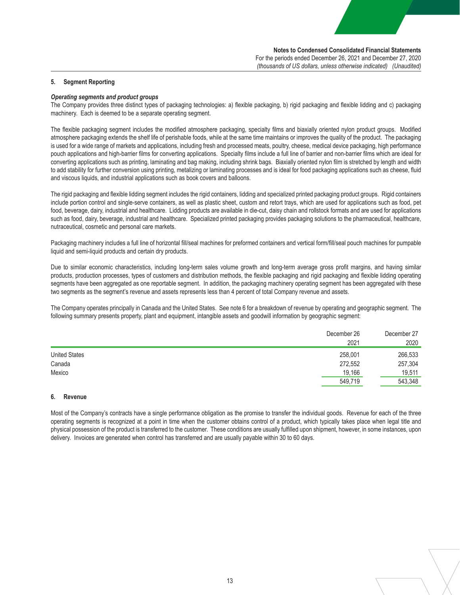## **5. Segment Reporting**

## *Operating segments and product groups*

The Company provides three distinct types of packaging technologies: a) flexible packaging, b) rigid packaging and flexible lidding and c) packaging machinery. Each is deemed to be a separate operating segment.

The flexible packaging segment includes the modified atmosphere packaging, specialty films and biaxially oriented nylon product groups. Modified atmosphere packaging extends the shelf life of perishable foods, while at the same time maintains or improves the quality of the product. The packaging is used for a wide range of markets and applications, including fresh and processed meats, poultry, cheese, medical device packaging, high performance pouch applications and high-barrier films for converting applications. Specialty films include a full line of barrier and non-barrier films which are ideal for converting applications such as printing, laminating and bag making, including shrink bags. Biaxially oriented nylon film is stretched by length and width to add stability for further conversion using printing, metalizing or laminating processes and is ideal for food packaging applications such as cheese, fluid and viscous liquids, and industrial applications such as book covers and balloons.

The rigid packaging and flexible lidding segment includes the rigid containers, lidding and specialized printed packaging product groups. Rigid containers include portion control and single-serve containers, as well as plastic sheet, custom and retort trays, which are used for applications such as food, pet food, beverage, dairy, industrial and healthcare. Lidding products are available in die-cut, daisy chain and rollstock formats and are used for applications such as food, dairy, beverage, industrial and healthcare. Specialized printed packaging provides packaging solutions to the pharmaceutical, healthcare, nutraceutical, cosmetic and personal care markets.

Packaging machinery includes a full line of horizontal fill/seal machines for preformed containers and vertical form/fill/seal pouch machines for pumpable liquid and semi-liquid products and certain dry products.

Due to similar economic characteristics, including long-term sales volume growth and long-term average gross profit margins, and having similar products, production processes, types of customers and distribution methods, the flexible packaging and rigid packaging and flexible lidding operating segments have been aggregated as one reportable segment. In addition, the packaging machinery operating segment has been aggregated with these two segments as the segment's revenue and assets represents less than 4 percent of total Company revenue and assets.

The Company operates principally in Canada and the United States. See note 6 for a breakdown of revenue by operating and geographic segment. The following summary presents property, plant and equipment, intangible assets and goodwill information by geographic segment:

|                      | December 26<br>2021 | December 27<br>2020 |
|----------------------|---------------------|---------------------|
| <b>United States</b> | 258,001             | 266,533             |
| Canada               | 272,552             | 257,304             |
| Mexico               | 19.166              | 19.511              |
|                      | 549,719             | 543,348             |

## **6. Revenue**

Most of the Company's contracts have a single performance obligation as the promise to transfer the individual goods. Revenue for each of the three operating segments is recognized at a point in time when the customer obtains control of a product, which typically takes place when legal title and physical possession of the product is transferred to the customer. These conditions are usually fulfilled upon shipment, however, in some instances, upon delivery. Invoices are generated when control has transferred and are usually payable within 30 to 60 days.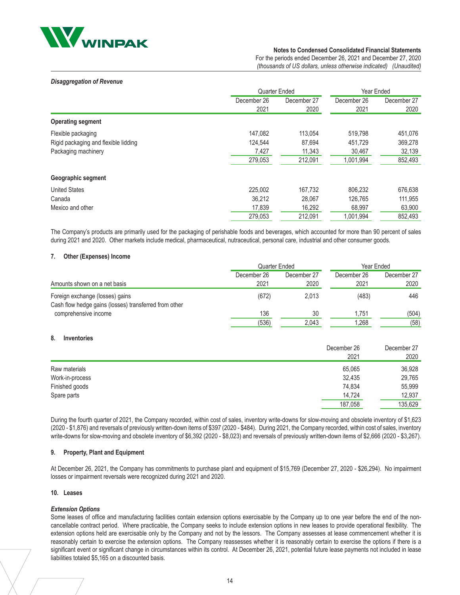

For the periods ended December 26, 2021 and December 27, 2020 *(thousands of US dollars, unless otherwise indicated) (Unaudited)*

## *Disaggregation of Revenue*

|                                      | Quarter Ended |             | Year Ended  |             |  |
|--------------------------------------|---------------|-------------|-------------|-------------|--|
|                                      | December 26   | December 27 | December 26 | December 27 |  |
|                                      | 2021          | 2020        | 2021        | 2020        |  |
| <b>Operating segment</b>             |               |             |             |             |  |
| Flexible packaging                   | 147.082       | 113.054     | 519.798     | 451,076     |  |
| Rigid packaging and flexible lidding | 124.544       | 87.694      | 451.729     | 369,278     |  |
| Packaging machinery                  | 7,427         | 11,343      | 30,467      | 32,139      |  |
|                                      | 279,053       | 212,091     | 1,001,994   | 852,493     |  |
| Geographic segment                   |               |             |             |             |  |
| <b>United States</b>                 | 225,002       | 167,732     | 806.232     | 676,638     |  |
| Canada                               | 36.212        | 28.067      | 126.765     | 111.955     |  |
| Mexico and other                     | 17,839        | 16,292      | 68.997      | 63,900      |  |
|                                      | 279.053       | 212.091     | 1.001.994   | 852.493     |  |

The Company's products are primarily used for the packaging of perishable foods and beverages, which accounted for more than 90 percent of sales during 2021 and 2020. Other markets include medical, pharmaceutical, nutraceutical, personal care, industrial and other consumer goods.

### **7. Other (Expenses) Income**

|                                                                                          | Quarter Ended       |                     | Year Ended          |                     |
|------------------------------------------------------------------------------------------|---------------------|---------------------|---------------------|---------------------|
| Amounts shown on a net basis                                                             | December 26<br>2021 | December 27<br>2020 | December 26<br>2021 | December 27<br>2020 |
| Foreign exchange (losses) gains<br>Cash flow hedge gains (losses) transferred from other | (672)               | 2.013               | (483)               | 446                 |
| comprehensive income                                                                     | 136                 | 30                  | 1.751               | (504)               |
|                                                                                          | (536)               | 2,043               | 1.268               | (58)                |

### **8. Inventories**

|                 | December 26 | December 27 |
|-----------------|-------------|-------------|
|                 | 2021        | 2020        |
| Raw materials   | 65,065      | 36,928      |
| Work-in-process | 32,435      | 29,765      |
| Finished goods  | 74,834      | 55,999      |
| Spare parts     | 14.724      | 12.937      |
|                 | 187,058     | 135,629     |

During the fourth quarter of 2021, the Company recorded, within cost of sales, inventory write-downs for slow-moving and obsolete inventory of \$1,623 (2020 - \$1,876) and reversals of previously written-down items of \$397 (2020 - \$484). During 2021, the Company recorded, within cost of sales, inventory write-downs for slow-moving and obsolete inventory of \$6,392 (2020 - \$8,023) and reversals of previously written-down items of \$2,666 (2020 - \$3,267).

## **9. Property, Plant and Equipment**

At December 26, 2021, the Company has commitments to purchase plant and equipment of \$15,769 (December 27, 2020 - \$26,294). No impairment losses or impairment reversals were recognized during 2021 and 2020.

## **10. Leases**

### *Extension Options*

Some leases of office and manufacturing facilities contain extension options exercisable by the Company up to one year before the end of the noncancellable contract period. Where practicable, the Company seeks to include extension options in new leases to provide operational flexibility. The extension options held are exercisable only by the Company and not by the lessors. The Company assesses at lease commencement whether it is reasonably certain to exercise the extension options. The Company reassesses whether it is reasonably certain to exercise the options if there is a significant event or significant change in circumstances within its control. At December 26, 2021, potential future lease payments not included in lease liabilities totaled \$5,165 on a discounted basis.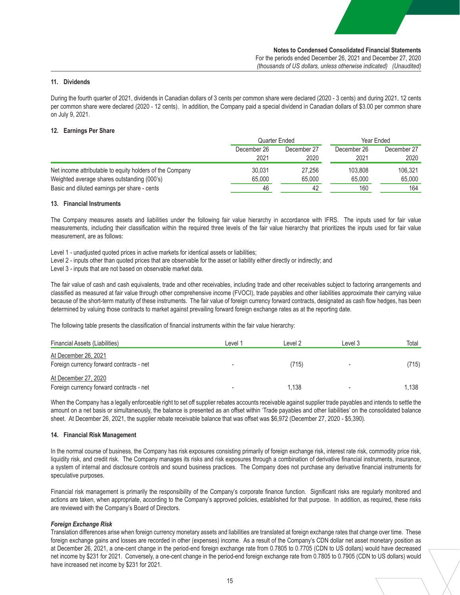# **11. Dividends**

During the fourth quarter of 2021, dividends in Canadian dollars of 3 cents per common share were declared (2020 - 3 cents) and during 2021, 12 cents per common share were declared (2020 - 12 cents). In addition, the Company paid a special dividend in Canadian dollars of \$3.00 per common share on July 9, 2021.

#### **12. Earnings Per Share**

|                                                          | Quarter Ended |             | Year Ended  |             |
|----------------------------------------------------------|---------------|-------------|-------------|-------------|
|                                                          | December 26   | December 27 | December 26 | December 27 |
|                                                          | 2021          | 2020        | 2021        | 2020        |
| Net income attributable to equity holders of the Company | 30.031        | 27.256      | 103.808     | 106.321     |
| Weighted average shares outstanding (000's)              | 65.000        | 65,000      | 65,000      | 65,000      |
| Basic and diluted earnings per share - cents             | 46            | 42          | 160         | 164         |

#### **13. Financial Instruments**

The Company measures assets and liabilities under the following fair value hierarchy in accordance with IFRS. The inputs used for fair value measurements, including their classification within the required three levels of the fair value hierarchy that prioritizes the inputs used for fair value measurement, are as follows:

Level 1 - unadjusted quoted prices in active markets for identical assets or liabilities;

Level 2 - inputs other than quoted prices that are observable for the asset or liability either directly or indirectly; and

Level 3 - inputs that are not based on observable market data.

The fair value of cash and cash equivalents, trade and other receivables, including trade and other receivables subject to factoring arrangements and classified as measured at fair value through other comprehensive income (FVOCI), trade payables and other liabilities approximate their carrying value because of the short-term maturity of these instruments. The fair value of foreign currency forward contracts, designated as cash flow hedges, has been determined by valuing those contracts to market against prevailing forward foreign exchange rates as at the reporting date.

The following table presents the classification of financial instruments within the fair value hierarchy:

| Financial Assets (Liabilities)                                   | Level 1 | Level 2 | Level 3                  | Total |
|------------------------------------------------------------------|---------|---------|--------------------------|-------|
| At December 26, 2021<br>Foreign currency forward contracts - net |         | (715)   | $\overline{\phantom{a}}$ | (715) |
| At December 27, 2020<br>Foreign currency forward contracts - net |         | 1.138   |                          | 1.138 |

When the Company has a legally enforceable right to set off supplier rebates accounts receivable against supplier trade payables and intends to settle the amount on a net basis or simultaneously, the balance is presented as an offset within 'Trade payables and other liabilities' on the consolidated balance sheet. At December 26, 2021, the supplier rebate receivable balance that was offset was \$6,972 (December 27, 2020 - \$5,390).

#### **14. Financial Risk Management**

In the normal course of business, the Company has risk exposures consisting primarily of foreign exchange risk, interest rate risk, commodity price risk, liquidity risk, and credit risk. The Company manages its risks and risk exposures through a combination of derivative financial instruments, insurance, a system of internal and disclosure controls and sound business practices. The Company does not purchase any derivative financial instruments for speculative purposes.

Financial risk management is primarily the responsibility of the Company's corporate finance function. Significant risks are regularly monitored and actions are taken, when appropriate, according to the Company's approved policies, established for that purpose. In addition, as required, these risks are reviewed with the Company's Board of Directors.

## *Foreign Exchange Risk*

Translation differences arise when foreign currency monetary assets and liabilities are translated at foreign exchange rates that change over time. These foreign exchange gains and losses are recorded in other (expenses) income. As a result of the Company's CDN dollar net asset monetary position as at December 26, 2021, a one-cent change in the period-end foreign exchange rate from 0.7805 to 0.7705 (CDN to US dollars) would have decreased net income by \$231 for 2021. Conversely, a one-cent change in the period-end foreign exchange rate from 0.7805 to 0.7905 (CDN to US dollars) would have increased net income by \$231 for 2021.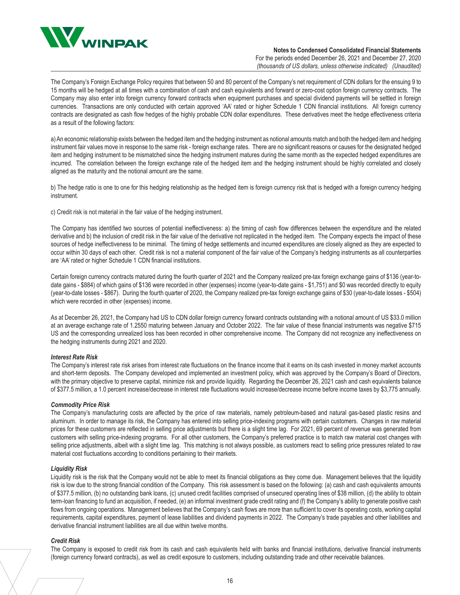

**Notes to Condensed Consolidated Financial Statements** For the periods ended December 26, 2021 and December 27, 2020 *(thousands of US dollars, unless otherwise indicated) (Unaudited)*

The Company's Foreign Exchange Policy requires that between 50 and 80 percent of the Company's net requirement of CDN dollars for the ensuing 9 to 15 months will be hedged at all times with a combination of cash and cash equivalents and forward or zero-cost option foreign currency contracts. The Company may also enter into foreign currency forward contracts when equipment purchases and special dividend payments will be settled in foreign currencies. Transactions are only conducted with certain approved 'AA' rated or higher Schedule 1 CDN financial institutions. All foreign currency contracts are designated as cash flow hedges of the highly probable CDN dollar expenditures. These derivatives meet the hedge effectiveness criteria as a result of the following factors:

a) An economic relationship exists between the hedged item and the hedging instrument as notional amounts match and both the hedged item and hedging instrument fair values move in response to the same risk - foreign exchange rates. There are no significant reasons or causes for the designated hedged item and hedging instrument to be mismatched since the hedging instrument matures during the same month as the expected hedged expenditures are incurred. The correlation between the foreign exchange rate of the hedged item and the hedging instrument should be highly correlated and closely aligned as the maturity and the notional amount are the same.

b) The hedge ratio is one to one for this hedging relationship as the hedged item is foreign currency risk that is hedged with a foreign currency hedging instrument.

c) Credit risk is not material in the fair value of the hedging instrument.

The Company has identified two sources of potential ineffectiveness: a) the timing of cash flow differences between the expenditure and the related derivative and b) the inclusion of credit risk in the fair value of the derivative not replicated in the hedged item. The Company expects the impact of these sources of hedge ineffectiveness to be minimal. The timing of hedge settlements and incurred expenditures are closely aligned as they are expected to occur within 30 days of each other. Credit risk is not a material component of the fair value of the Company's hedging instruments as all counterparties are 'AA' rated or higher Schedule 1 CDN financial institutions.

Certain foreign currency contracts matured during the fourth quarter of 2021 and the Company realized pre-tax foreign exchange gains of \$136 (year-todate gains - \$884) of which gains of \$136 were recorded in other (expenses) income (year-to-date gains - \$1,751) and \$0 was recorded directly to equity (year-to-date losses - \$867). During the fourth quarter of 2020, the Company realized pre-tax foreign exchange gains of \$30 (year-to-date losses - \$504) which were recorded in other (expenses) income.

As at December 26, 2021, the Company had US to CDN dollar foreign currency forward contracts outstanding with a notional amount of US \$33.0 million at an average exchange rate of 1.2550 maturing between January and October 2022. The fair value of these financial instruments was negative \$715 US and the corresponding unrealized loss has been recorded in other comprehensive income. The Company did not recognize any ineffectiveness on the hedging instruments during 2021 and 2020.

### *Interest Rate Risk*

The Company's interest rate risk arises from interest rate fluctuations on the finance income that it earns on its cash invested in money market accounts and short-term deposits. The Company developed and implemented an investment policy, which was approved by the Company's Board of Directors, with the primary objective to preserve capital, minimize risk and provide liquidity. Regarding the December 26, 2021 cash and cash equivalents balance of \$377.5 million, a 1.0 percent increase/decrease in interest rate fluctuations would increase/decrease income before income taxes by \$3,775 annually.

### *Commodity Price Risk*

The Company's manufacturing costs are affected by the price of raw materials, namely petroleum-based and natural gas-based plastic resins and aluminum. In order to manage its risk, the Company has entered into selling price-indexing programs with certain customers. Changes in raw material prices for these customers are reflected in selling price adjustments but there is a slight time lag. For 2021, 69 percent of revenue was generated from customers with selling price-indexing programs. For all other customers, the Company's preferred practice is to match raw material cost changes with selling price adjustments, albeit with a slight time lag. This matching is not always possible, as customers react to selling price pressures related to raw material cost fluctuations according to conditions pertaining to their markets.

### *Liquidity Risk*

Liquidity risk is the risk that the Company would not be able to meet its financial obligations as they come due. Management believes that the liquidity risk is low due to the strong financial condition of the Company. This risk assessment is based on the following: (a) cash and cash equivalents amounts of \$377.5 million, (b) no outstanding bank loans, (c) unused credit facilities comprised of unsecured operating lines of \$38 million, (d) the ability to obtain term-loan financing to fund an acquisition, if needed, (e) an informal investment grade credit rating and (f) the Company's ability to generate positive cash flows from ongoing operations. Management believes that the Company's cash flows are more than sufficient to cover its operating costs, working capital requirements, capital expenditures, payment of lease liabilities and dividend payments in 2022. The Company's trade payables and other liabilities and derivative financial instrument liabilities are all due within twelve months.

#### *Credit Risk*

The Company is exposed to credit risk from its cash and cash equivalents held with banks and financial institutions, derivative financial instruments (foreign currency forward contracts), as well as credit exposure to customers, including outstanding trade and other receivable balances.